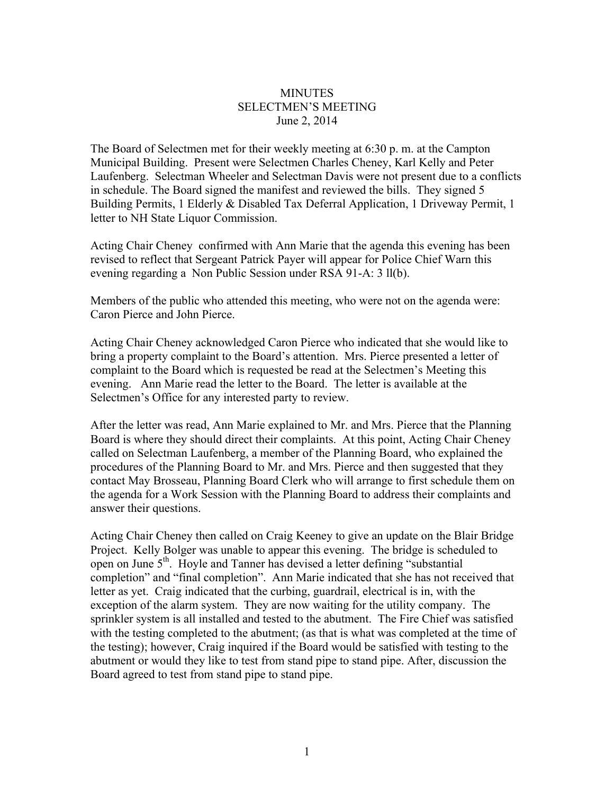## **MINUTES** SELECTMEN'S MEETING June 2, 2014

The Board of Selectmen met for their weekly meeting at 6:30 p. m. at the Campton Municipal Building. Present were Selectmen Charles Cheney, Karl Kelly and Peter Laufenberg. Selectman Wheeler and Selectman Davis were not present due to a conflicts in schedule. The Board signed the manifest and reviewed the bills. They signed 5 Building Permits, 1 Elderly & Disabled Tax Deferral Application, 1 Driveway Permit, 1 letter to NH State Liquor Commission.

Acting Chair Cheney confirmed with Ann Marie that the agenda this evening has been revised to reflect that Sergeant Patrick Payer will appear for Police Chief Warn this evening regarding a Non Public Session under RSA 91-A: 3 ll(b).

Members of the public who attended this meeting, who were not on the agenda were: Caron Pierce and John Pierce.

Acting Chair Cheney acknowledged Caron Pierce who indicated that she would like to bring a property complaint to the Board's attention. Mrs. Pierce presented a letter of complaint to the Board which is requested be read at the Selectmen's Meeting this evening. Ann Marie read the letter to the Board. The letter is available at the Selectmen's Office for any interested party to review.

After the letter was read, Ann Marie explained to Mr. and Mrs. Pierce that the Planning Board is where they should direct their complaints. At this point, Acting Chair Cheney called on Selectman Laufenberg, a member of the Planning Board, who explained the procedures of the Planning Board to Mr. and Mrs. Pierce and then suggested that they contact May Brosseau, Planning Board Clerk who will arrange to first schedule them on the agenda for a Work Session with the Planning Board to address their complaints and answer their questions.

Acting Chair Cheney then called on Craig Keeney to give an update on the Blair Bridge Project. Kelly Bolger was unable to appear this evening. The bridge is scheduled to open on June 5<sup>th</sup>. Hoyle and Tanner has devised a letter defining "substantial" completion" and "final completion". Ann Marie indicated that she has not received that letter as yet. Craig indicated that the curbing, guardrail, electrical is in, with the exception of the alarm system. They are now waiting for the utility company. The sprinkler system is all installed and tested to the abutment. The Fire Chief was satisfied with the testing completed to the abutment; (as that is what was completed at the time of the testing); however, Craig inquired if the Board would be satisfied with testing to the abutment or would they like to test from stand pipe to stand pipe. After, discussion the Board agreed to test from stand pipe to stand pipe.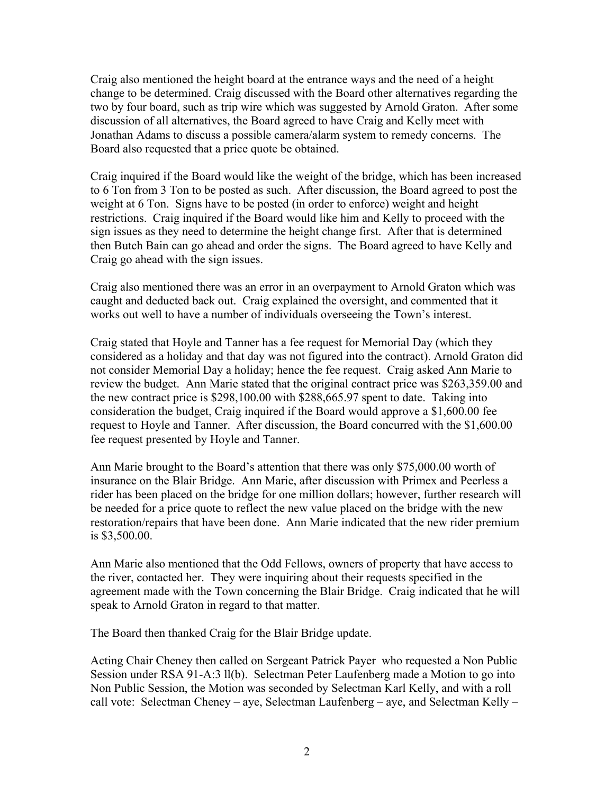Craig also mentioned the height board at the entrance ways and the need of a height change to be determined. Craig discussed with the Board other alternatives regarding the two by four board, such as trip wire which was suggested by Arnold Graton. After some discussion of all alternatives, the Board agreed to have Craig and Kelly meet with Jonathan Adams to discuss a possible camera/alarm system to remedy concerns. The Board also requested that a price quote be obtained.

Craig inquired if the Board would like the weight of the bridge, which has been increased to 6 Ton from 3 Ton to be posted as such. After discussion, the Board agreed to post the weight at 6 Ton. Signs have to be posted (in order to enforce) weight and height restrictions. Craig inquired if the Board would like him and Kelly to proceed with the sign issues as they need to determine the height change first. After that is determined then Butch Bain can go ahead and order the signs. The Board agreed to have Kelly and Craig go ahead with the sign issues.

Craig also mentioned there was an error in an overpayment to Arnold Graton which was caught and deducted back out. Craig explained the oversight, and commented that it works out well to have a number of individuals overseeing the Town's interest.

Craig stated that Hoyle and Tanner has a fee request for Memorial Day (which they considered as a holiday and that day was not figured into the contract). Arnold Graton did not consider Memorial Day a holiday; hence the fee request. Craig asked Ann Marie to review the budget. Ann Marie stated that the original contract price was \$263,359.00 and the new contract price is \$298,100.00 with \$288,665.97 spent to date. Taking into consideration the budget, Craig inquired if the Board would approve a \$1,600.00 fee request to Hoyle and Tanner. After discussion, the Board concurred with the \$1,600.00 fee request presented by Hoyle and Tanner.

Ann Marie brought to the Board's attention that there was only \$75,000.00 worth of insurance on the Blair Bridge. Ann Marie, after discussion with Primex and Peerless a rider has been placed on the bridge for one million dollars; however, further research will be needed for a price quote to reflect the new value placed on the bridge with the new restoration/repairs that have been done. Ann Marie indicated that the new rider premium is \$3,500.00.

Ann Marie also mentioned that the Odd Fellows, owners of property that have access to the river, contacted her. They were inquiring about their requests specified in the agreement made with the Town concerning the Blair Bridge. Craig indicated that he will speak to Arnold Graton in regard to that matter.

The Board then thanked Craig for the Blair Bridge update.

Acting Chair Cheney then called on Sergeant Patrick Payer who requested a Non Public Session under RSA 91-A:3 ll(b). Selectman Peter Laufenberg made a Motion to go into Non Public Session, the Motion was seconded by Selectman Karl Kelly, and with a roll call vote: Selectman Cheney – aye, Selectman Laufenberg – aye, and Selectman Kelly –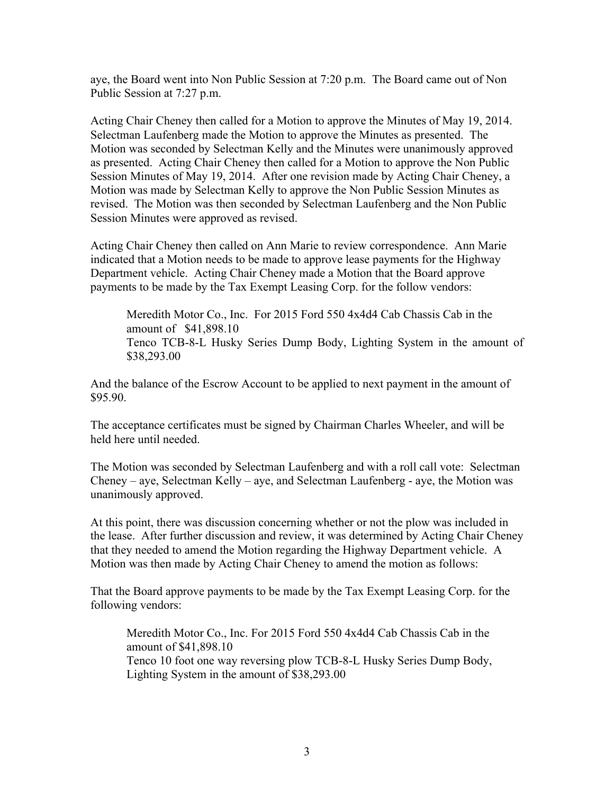aye, the Board went into Non Public Session at 7:20 p.m. The Board came out of Non Public Session at 7:27 p.m.

Acting Chair Cheney then called for a Motion to approve the Minutes of May 19, 2014. Selectman Laufenberg made the Motion to approve the Minutes as presented. The Motion was seconded by Selectman Kelly and the Minutes were unanimously approved as presented. Acting Chair Cheney then called for a Motion to approve the Non Public Session Minutes of May 19, 2014. After one revision made by Acting Chair Cheney, a Motion was made by Selectman Kelly to approve the Non Public Session Minutes as revised. The Motion was then seconded by Selectman Laufenberg and the Non Public Session Minutes were approved as revised.

Acting Chair Cheney then called on Ann Marie to review correspondence. Ann Marie indicated that a Motion needs to be made to approve lease payments for the Highway Department vehicle. Acting Chair Cheney made a Motion that the Board approve payments to be made by the Tax Exempt Leasing Corp. for the follow vendors:

Meredith Motor Co., Inc. For 2015 Ford 550 4x4d4 Cab Chassis Cab in the amount of \$41,898.10 Tenco TCB-8-L Husky Series Dump Body, Lighting System in the amount of \$38,293.00

And the balance of the Escrow Account to be applied to next payment in the amount of \$95.90.

The acceptance certificates must be signed by Chairman Charles Wheeler, and will be held here until needed.

The Motion was seconded by Selectman Laufenberg and with a roll call vote: Selectman Cheney – aye, Selectman Kelly – aye, and Selectman Laufenberg - aye, the Motion was unanimously approved.

At this point, there was discussion concerning whether or not the plow was included in the lease. After further discussion and review, it was determined by Acting Chair Cheney that they needed to amend the Motion regarding the Highway Department vehicle. A Motion was then made by Acting Chair Cheney to amend the motion as follows:

That the Board approve payments to be made by the Tax Exempt Leasing Corp. for the following vendors:

Meredith Motor Co., Inc. For 2015 Ford 550 4x4d4 Cab Chassis Cab in the amount of \$41,898.10 Tenco 10 foot one way reversing plow TCB-8-L Husky Series Dump Body, Lighting System in the amount of \$38,293.00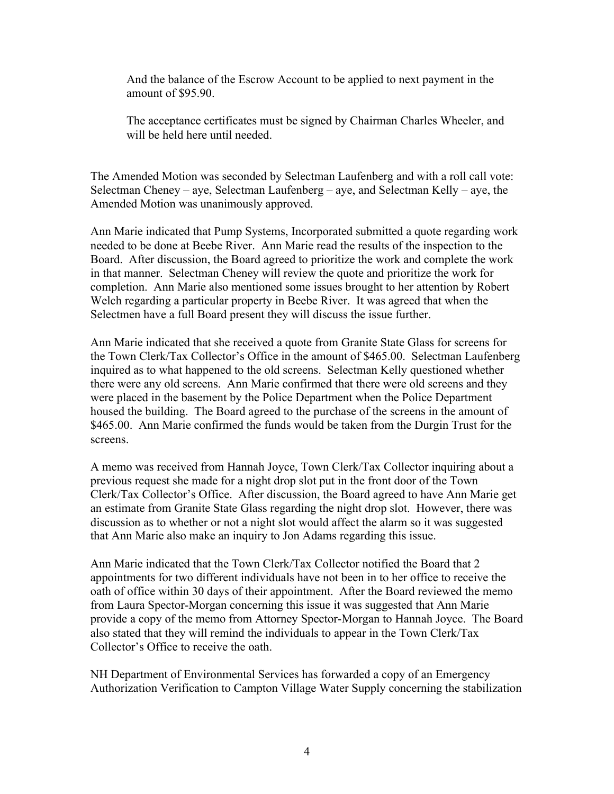And the balance of the Escrow Account to be applied to next payment in the amount of \$95.90.

The acceptance certificates must be signed by Chairman Charles Wheeler, and will be held here until needed.

The Amended Motion was seconded by Selectman Laufenberg and with a roll call vote: Selectman Cheney – aye, Selectman Laufenberg – aye, and Selectman Kelly – aye, the Amended Motion was unanimously approved.

Ann Marie indicated that Pump Systems, Incorporated submitted a quote regarding work needed to be done at Beebe River. Ann Marie read the results of the inspection to the Board. After discussion, the Board agreed to prioritize the work and complete the work in that manner. Selectman Cheney will review the quote and prioritize the work for completion. Ann Marie also mentioned some issues brought to her attention by Robert Welch regarding a particular property in Beebe River. It was agreed that when the Selectmen have a full Board present they will discuss the issue further.

Ann Marie indicated that she received a quote from Granite State Glass for screens for the Town Clerk/Tax Collector's Office in the amount of \$465.00. Selectman Laufenberg inquired as to what happened to the old screens. Selectman Kelly questioned whether there were any old screens. Ann Marie confirmed that there were old screens and they were placed in the basement by the Police Department when the Police Department housed the building. The Board agreed to the purchase of the screens in the amount of \$465.00. Ann Marie confirmed the funds would be taken from the Durgin Trust for the screens.

A memo was received from Hannah Joyce, Town Clerk/Tax Collector inquiring about a previous request she made for a night drop slot put in the front door of the Town Clerk/Tax Collector's Office. After discussion, the Board agreed to have Ann Marie get an estimate from Granite State Glass regarding the night drop slot. However, there was discussion as to whether or not a night slot would affect the alarm so it was suggested that Ann Marie also make an inquiry to Jon Adams regarding this issue.

Ann Marie indicated that the Town Clerk/Tax Collector notified the Board that 2 appointments for two different individuals have not been in to her office to receive the oath of office within 30 days of their appointment. After the Board reviewed the memo from Laura Spector-Morgan concerning this issue it was suggested that Ann Marie provide a copy of the memo from Attorney Spector-Morgan to Hannah Joyce. The Board also stated that they will remind the individuals to appear in the Town Clerk/Tax Collector's Office to receive the oath.

NH Department of Environmental Services has forwarded a copy of an Emergency Authorization Verification to Campton Village Water Supply concerning the stabilization